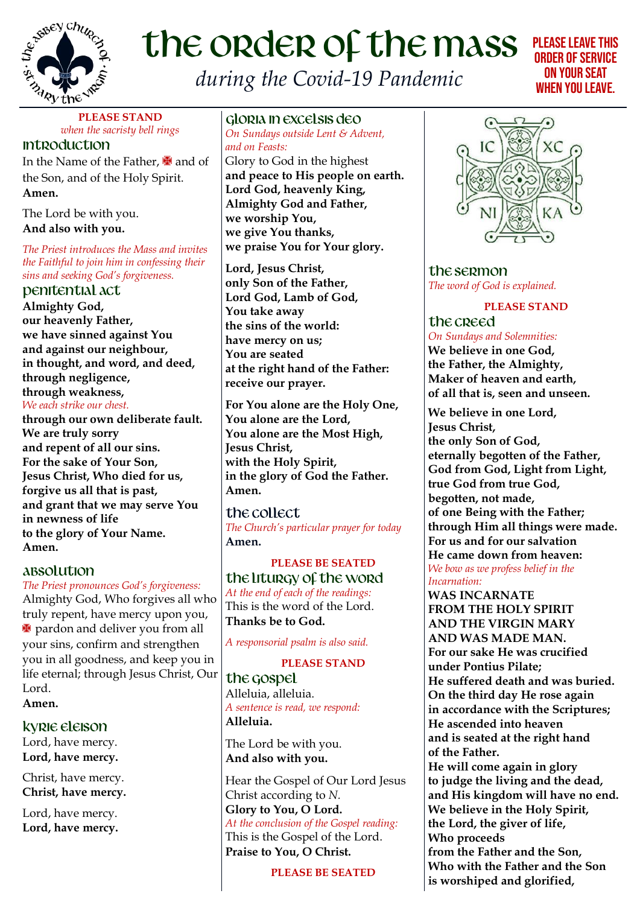

# the order of the mass *during the Covid-19 Pandemic*

# Please leave this order of service on your seat when you leave.

**PLEASE STAND** *when the sacristy bell rings* **Introduction** 

In the Name of the Father,  $\blacksquare$  and of the Son, and of the Holy Spirit. **Amen.**

The Lord be with you. **And also with you.**

*The Priest introduces the Mass and invites the Faithful to join him in confessing their sins and seeking God's forgiveness.*

Penitential ACT **Almighty God, our heavenly Father, we have sinned against You and against our neighbour, in thought, and word, and deed, through negligence, through weakness,** *We each strike our chest.*

**through our own deliberate fault. We are truly sorry and repent of all our sins. For the sake of Your Son, Jesus Christ, Who died for us, forgive us all that is past, and grant that we may serve You in newness of life to the glory of Your Name. Amen.**

# ABSOLUTION

#### *The Priest pronounces God's forgiveness:*

Almighty God, Who forgives all who truly repent, have mercy upon you, **\*** pardon and deliver you from all your sins, confirm and strengthen you in all goodness, and keep you in life eternal; through Jesus Christ, Our Lord.

**Amen.**

KYRIE ELEISON Lord, have mercy. **Lord, have mercy.**

Christ, have mercy. **Christ, have mercy.**

Lord, have mercy. **Lord, have mercy.**

GLORIA in excelsis Deo *On Sundays outside Lent & Advent, and on Feasts:*

Glory to God in the highest **and peace to His people on earth. Lord God, heavenly King, Almighty God and Father, we worship You, we give You thanks, we praise You for Your glory.**

**Lord, Jesus Christ, only Son of the Father, Lord God, Lamb of God, You take away the sins of the world: have mercy on us; You are seated at the right hand of the Father: receive our prayer.**

**For You alone are the Holy One, You alone are the Lord, You alone are the Most High, Jesus Christ, with the Holy Spirit, in the glory of God the Father. Amen.**

the collect *The Church's particular prayer for today* **Amen.**

**PLEASE BE SEATED** the liturgy of the word *At the end of each of the readings:* This is the word of the Lord. **Thanks be to God.**

*A responsorial psalm is also said.*

#### **PLEASE STAND**

the gospel Alleluia, alleluia. *A sentence is read, we respond:* **Alleluia.**

The Lord be with you. **And also with you.**

Hear the Gospel of Our Lord Jesus Christ according to *N.*

**Glory to You, O Lord.** *At the conclusion of the Gospel reading:* This is the Gospel of the Lord. **Praise to You, O Christ.**

**PLEASE BE SEATED**



the sermon *The word of God is explained.*

**PLEASE STAND**

the creed *On Sundays and Solemnities:* **We believe in one God, the Father, the Almighty, Maker of heaven and earth, of all that is, seen and unseen.** 

**We believe in one Lord, Jesus Christ, the only Son of God, eternally begotten of the Father, God from God, Light from Light, true God from true God, begotten, not made, of one Being with the Father; through Him all things were made. For us and for our salvation He came down from heaven:** *We bow as we profess belief in the Incarnation:*

**WAS INCARNATE FROM THE HOLY SPIRIT AND THE VIRGIN MARY AND WAS MADE MAN. For our sake He was crucified under Pontius Pilate; He suffered death and was buried. On the third day He rose again in accordance with the Scriptures; He ascended into heaven and is seated at the right hand of the Father.**

**He will come again in glory to judge the living and the dead, and His kingdom will have no end. We believe in the Holy Spirit, the Lord, the giver of life, Who proceeds from the Father and the Son, Who with the Father and the Son is worshiped and glorified,**